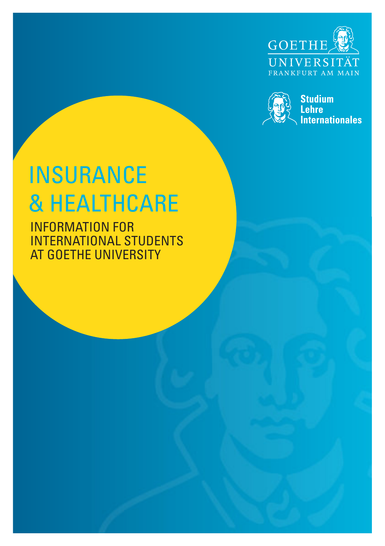



# INSURANCE & HEALTHCARE

INFORMATION FOR INTERNATIONAL STUDENTS AT GOETHE UNIVERSITY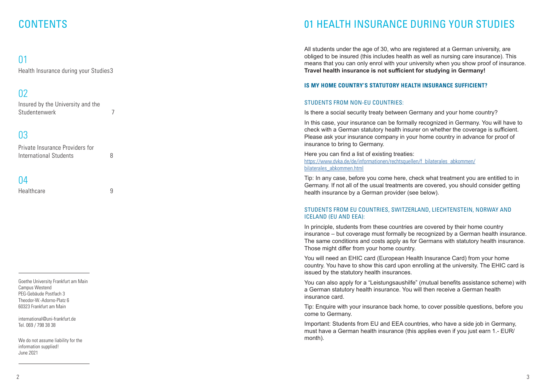## **CONTENTS**

### $\bigcap$  1

Health Insurance during your Studies3

### 02

Insured by the University and the Studentenwerk 7

### 03

Private Insurance Providers for International Students 8

### 04

Healthcare 9

Goethe University Frankfurt am Main Campus Westend PEG-Gebäude Postfach 3 Theodor-W.-Adorno-Platz 6 60323 Frankfurt am Main

international@uni-frankfurt.de Tel. 069 / 798 38 38

We do not assume liability for the information supplied! June 2021

### 01 HEALTH INSURANCE DURING YOUR STUDIES

All students under the age of 30, who are registered at a German university, are obliged to be insured (this includes health as well as nursing care insurance). This means that you can only enrol with your university when you show proof of insurance. **Travel health insurance is not sufficient for studying in Germany!**

### **IS MY HOME COUNTRY'S STATUTORY HEALTH INSURANCE SUFFICIENT?**

### STUDENTS FROM NON-EU COUNTRIES:

Is there a social security treaty between Germany and your home country?

In this case, your insurance can be formally recognized in Germany. You will have to check with a German statutory health insurer on whether the coverage is sufficient. Please ask your insurance company in your home country in advance for proof of insurance to bring to Germany.

Here you can find a list of existing treaties: https://www.dvka.de/de/informationen/rechtsquellen/f\_bilaterales\_abkommen/ bilaterales\_abkommen.html

Tip: In any case, before you come here, check what treatment you are entitled to in Germany. If not all of the usual treatments are covered, you should consider getting health insurance by a German provider (see below).

### STUDENTS FROM EU COUNTRIES, SWITZERLAND, LIECHTENSTEIN, NORWAY AND ICELAND (EU AND EEA):

In principle, students from these countries are covered by their home country insurance – but coverage must formally be recognized by a German health insurance. The same conditions and costs apply as for Germans with statutory health insurance. Those might differ from your home country.

You will need an EHIC card (European Health Insurance Card) from your home country. You have to show this card upon enrolling at the university. The EHIC card is issued by the statutory health insurances.

You can also apply for a "Leistungsaushilfe" (mutual benefits assistance scheme) with a German statutory health insurance. You will then receive a German health insurance card.

Tip: Enquire with your insurance back home, to cover possible questions, before you come to Germany.

Important: Students from EU and EEA countries, who have a side job in Germany, must have a German health insurance (this applies even if you just earn 1.- EUR/ month).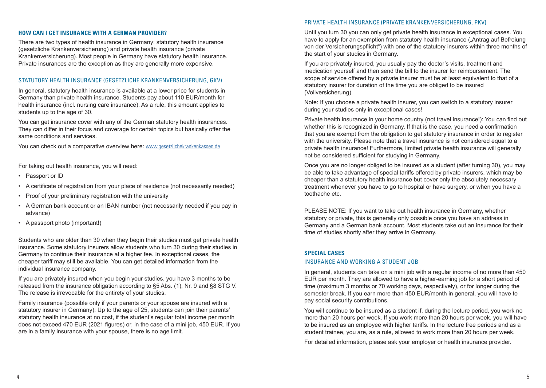### **HOW CAN I GET INSURANCE WITH A GERMAN PROVIDER?**

There are two types of health insurance in Germany: statutory health insurance (gesetzliche Krankenversicherung) and private health insurance (private Krankenversicherung). Most people in Germany have statutory health insurance. Private insurances are the exception as they are generally more expensive.

### STATUTORY HEALTH INSURANCE (GESETZLICHE KRANKENVERSICHERUNG, GKV)

In general, statutory health insurance is available at a lower price for students in Germany than private health insurance. Students pay about 110 EUR/month for health insurance (incl. nursing care insurance). As a rule, this amount applies to students up to the age of 30.

You can get insurance cover with any of the German statutory health insurances. They can differ in their focus and coverage for certain topics but basically offer the same conditions and services.

You can check out a comparative overview here: www.gesetzlichekrankenkassen.de

For taking out health insurance, you will need:

- Passport or ID
- A certificate of registration from your place of residence (not necessarily needed)
- Proof of your preliminary registration with the university
- A German bank account or an IBAN number (not necessarily needed if you pay in advance)
- A passport photo (important!)

Students who are older than 30 when they begin their studies must get private health insurance. Some statutory insurers allow students who turn 30 during their studies in Germany to continue their insurance at a higher fee. In exceptional cases, the cheaper tariff may still be available. You can get detailed information from the individual insurance company.

If you are privately insured when you begin your studies, you have 3 months to be released from the insurance obligation according to §5 Abs. (1), Nr. 9 and §8 STG V. The release is irrevocable for the entirety of your studies.

Family insurance (possible only if your parents or your spouse are insured with a statutory insurer in Germany): Up to the age of 25, students can join their parents' statutory health insurance at no cost, if the student's regular total income per month does not exceed 470 EUR (2021 figures) or, in the case of a mini job, 450 EUR. If you are in a family insurance with your spouse, there is no age limit.

#### PRIVATE HEALTH INSURANCE (PRIVATE KRANKENVERSICHERUNG, PKV)

Until you turn 30 you can only get private health insurance in exceptional cases. You have to apply for an exemption from statutory health insurance (...Antrag auf Befreiung von der Versicherungspflicht") with one of the statutory insurers within three months of the start of your studies in Germany.

If you are privately insured, you usually pay the doctor's visits, treatment and medication yourself and then send the bill to the insurer for reimbursement. The scope of service offered by a private insurer must be at least equivalent to that of a statutory insurer for duration of the time you are obliged to be insured (Vollversicherung).

Note: If you choose a private health insurer, you can switch to a statutory insurer during your studies only in exceptional cases!

Private health insurance in your home country (not travel insurance!): You can find out whether this is recognized in Germany. If that is the case, you need a confirmation that you are exempt from the obligation to get statutory insurance in order to register with the university. Please note that a travel insurance is not considered equal to a private health insurance! Furthermore, limited private health insurance will generally not be considered sufficient for studying in Germany.

Once you are no longer obliged to be insured as a student (after turning 30), you may be able to take advantage of special tariffs offered by private insurers, which may be cheaper than a statutory health insurance but cover only the absolutely necessary treatment whenever you have to go to hospital or have surgery, or when you have a toothache etc.

PLEASE NOTE: If you want to take out health insurance in Germany, whether statutory or private, this is generally only possible once you have an address in Germany and a German bank account. Most students take out an insurance for their time of studies shortly after they arrive in Germany.

### **SPECIAL CASES**

#### INSURANCE AND WORKING A STUDENT JOB

In general, students can take on a mini job with a regular income of no more than 450 EUR per month. They are allowed to have a higher-earning job for a short period of time (maximum 3 months or 70 working days, respectively), or for longer during the semester break. If you earn more than 450 EUR/month in general, you will have to pay social security contributions.

You will continue to be insured as a student if, during the lecture period, you work no more than 20 hours per week. If you work more than 20 hours per week, you will have to be insured as an employee with higher tariffs. In the lecture free periods and as a student trainee, you are, as a rule, allowed to work more than 20 hours per week.

For detailed information, please ask your employer or health insurance provider.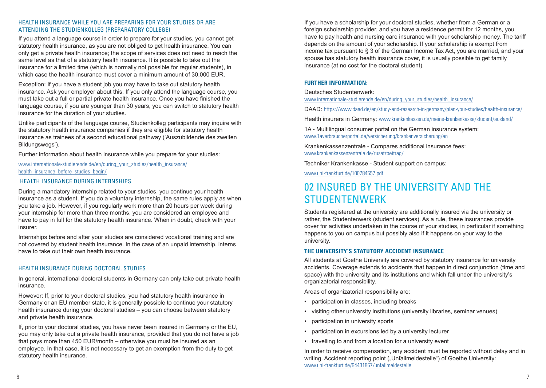### HEALTH INSURANCE WHILE YOU ARE PREPARING FOR YOUR STUDIES OR ARE ATTENDING THE STUDIENKOLLEG (PREPARATORY COLLEGE)

If you attend a language course in order to prepare for your studies, you cannot get statutory health insurance, as you are not obliged to get health insurance. You can only get a private health insurance; the scope of services does not need to reach the same level as that of a statutory health insurance. It is possible to take out the insurance for a limited time (which is normally not possible for regular students), in which case the health insurance must cover a minimum amount of 30,000 EUR.

Exception: If you have a student job you may have to take out statutory health insurance. Ask your employer about this. If you only attend the language course, you must take out a full or partial private health insurance. Once you have finished the language course, if you are younger than 30 years, you can switch to statutory health insurance for the duration of your studies.

Unlike participants of the language course, Studienkolleg participants may inquire with the statutory health insurance companies if they are eligible for statutory health insurance as trainees of a second educational pathway ('Auszubildende des zweiten Bildungswegs').

Further information about health insurance while you prepare for your studies:

### www.internationale-studierende.de/en/during\_your\_studies/health\_insurance/ health\_insurance\_before\_studies\_begin/

### HEALTH INSURANCE DURING INTERNSHIPS

During a mandatory internship related to your studies, you continue your health insurance as a student. If you do a voluntary internship, the same rules apply as when you take a job. However, if you regularly work more than 20 hours per week during your internship for more than three months, you are considered an employee and have to pay in full for the statutory health insurance. When in doubt, check with your insurer.

Internships before and after your studies are considered vocational training and are not covered by student health insurance. In the case of an unpaid internship, interns have to take out their own health insurance.

### HEALTH INSURANCE DURING DOCTORAL STUDIES

In general, international doctoral students in Germany can only take out private health insurance.

However: If, prior to your doctoral studies, you had statutory health insurance in Germany or an EU member state, it is generally possible to continue your statutory health insurance during your doctoral studies – you can choose between statutory and private health insurance.

If, prior to your doctoral studies, you have never been insured in Germany or the EU, you may only take out a private health insurance, provided that you do not have a job that pays more than 450 EUR/month – otherwise you must be insured as an employee. In that case, it is not necessary to get an exemption from the duty to get statutory health insurance.

If you have a scholarship for your doctoral studies, whether from a German or a foreign scholarship provider, and you have a residence permit for 12 months, you have to pay health and nursing care insurance with your scholarship money. The tariff depends on the amount of your scholarship. If your scholarship is exempt from income tax pursuant to § 3 of the German Income Tax Act, you are married, and your spouse has statutory health insurance cover, it is usually possible to get family insurance (at no cost for the doctoral student).

### **FURTHER INFORMATION:**

#### Deutsches Studentenwerk:

www.internationale-studierende.de/en/during\_your\_studies/health\_insurance/

DAAD: https://www.daad.de/en/study-and-research-in-germany/plan-your-studies/health-insurance/

Health insurers in Germany: www.krankenkassen.de/meine-krankenkasse/student/ausland/

1A - Multilingual consumer portal on the German insurance system: www.1averbraucherportal.de/versicherung/krankenversicherung/en-

Krankenkassenzentrale - Compares additional insurance fees: www.krankenkassenzentrale.de/zusatzbeitrag/

Techniker Krankenkasse - Student support on campus:

www.uni-frankfurt.de/100784557.pdf

### 02 INSURED BY THE UNIVERSITY AND THE **STUDENTENWERK**

Students registered at the university are additionally insured via the university or rather, the Studentenwerk (student services). As a rule, these insurances provide cover for activities undertaken in the course of your studies, in particular if something happens to you on campus but possibly also if it happens on your way to the university.

### **THE UNIVERSITY'S STATUTORY ACCIDENT INSURANCE**

All students at Goethe University are covered by statutory insurance for university accidents. Coverage extends to accidents that happen in direct conjunction (time and space) with the university and its institutions and which fall under the university's organizatorial responsibility.

Areas of organizatorial responsibility are:

- participation in classes, including breaks
- visiting other university institutions (university libraries, seminar venues)
- participation in university sports
- participation in excursions led by a university lecturer
- travelling to and from a location for a university event

In order to receive compensation, any accident must be reported without delay and in writing. Accident reporting point ("Unfallmeldestelle") of Goethe University: www.uni-frankfurt.de/94431867/unfallmeldestelle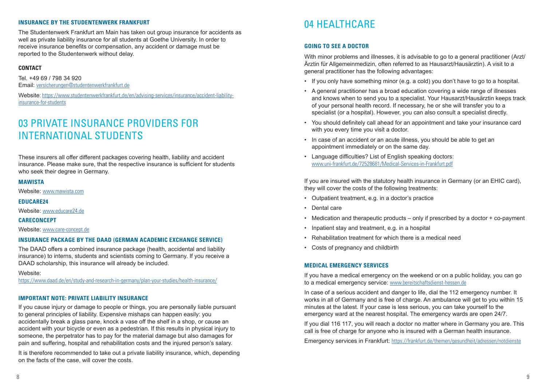### **INSURANCE BY THE STUDENTENWERK FRANKFURT**

The Studentenwerk Frankfurt am Main has taken out group insurance for accidents as well as private liability insurance for all students at Goethe University. In order to receive insurance benefits or compensation, any accident or damage must be reported to the Studentenwerk without delay.

### **CONTACT**

Tel. +49 69 / 798 34 920 Email: versicherungen@studentenwerkfrankfurt.de

Website: https://www.studentenwerkfrankfurt.de/en/advising-services/insurance/accident-liabilityinsurance-for-students

### 03 PRIVATE INSURANCE PROVIDERS FOR INTERNATIONAL STUDENTS

These insurers all offer different packages covering health, liability and accident insurance. Please make sure, that the respective insurance is sufficient for students who seek their degree in Germany.

#### **MAWISTA**

Website: www.mawista.com

#### **EDUCARE24**

Website: www.educare24.de

#### **CARECONCEPT**

Website: www.care-concept.de

#### **INSURANCE PACKAGE BY THE DAAD (GERMAN ACADEMIC EXCHANGE SERVICE)**

The DAAD offers a combined insurance package (health, accidental and liability insurance) to interns, students and scientists coming to Germany. If you receive a DAAD scholarship, this insurance will already be included.

#### Website:

https://www.daad.de/en/study-and-research-in-germany/plan-your-studies/health-insurance/

### **IMPORTANT NOTE: PRIVATE LIABILITY INSURANCE**

If you cause injury or damage to people or things, you are personally liable pursuant to general principles of liability. Expensive mishaps can happen easily: you accidentally break a glass pane, knock a vase off the shelf in a shop, or cause an accident with your bicycle or even as a pedestrian. If this results in physical injury to someone, the perpetrator has to pay for the material damage but also damages for pain and suffering, hospital and rehabilitation costs and the injured person's salary.

It is therefore recommended to take out a private liability insurance, which, depending on the facts of the case, will cover the costs.

### 04 HEALTHCARE

### **GOING TO SEE A DOCTOR**

With minor problems and illnesses, it is advisable to go to a general practitioner (Arzt/ Ärztin für Allgemeinmedizin, often referred to as Hausarzt/Hausärztin). A visit to a general practitioner has the following advantages:

- If you only have something minor (e.g. a cold) you don't have to go to a hospital.
- A general practitioner has a broad education covering a wide range of illnesses and knows when to send you to a specialist. Your Hausarzt/Hausärztin keeps track of your personal health record. If necessary, he or she will transfer you to a specialist (or a hospital). However, you can also consult a specialist directly.
- You should definitely call ahead for an appointment and take your insurance card with you every time you visit a doctor.
- In case of an accident or an acute illness, you should be able to get an appointment immediately or on the same day.
- Language difficulties? List of English speaking doctors: www.uni-frankfurt.de/72528681/Medical-Services-in-Frankfurt.pdf

If you are insured with the statutory health insurance in Germany (or an EHIC card), they will cover the costs of the following treatments:

- Outpatient treatment, e.g. in a doctor's practice
- Dental care
- Medication and therapeutic products only if prescribed by a doctor + co-payment
- Inpatient stay and treatment, e.g. in a hospital
- Rehabilitation treatment for which there is a medical need
- Costs of pregnancy and childbirth

#### **MEDICAL EMERGENCY SERVICES**

If you have a medical emergency on the weekend or on a public holiday, you can go to a medical emergency service: www.bereitschaftsdienst-hessen.de

In case of a serious accident and danger to life, dial the 112 emergency number. It works in all of Germany and is free of charge. An ambulance will get to you within 15 minutes at the latest. If your case is less serious, you can take yourself to the emergency ward at the nearest hospital. The emergency wards are open 24/7.

If you dial 116 117, you will reach a doctor no matter where in Germany you are. This call is free of charge for anyone who is insured with a German health insurance.

Emergency services in Frankfurt: https://frankfurt.de/themen/gesundheit/adressen/notdienste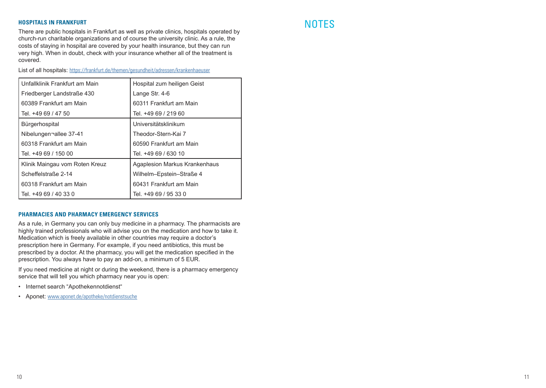NOTES **HOSPITALS IN FRANKFURT** There are public hospitals in Frankfurt as well as private clinics, hospitals operated by church-run charitable organizations and of course the university clinic. As a rule, the costs of staying in hospital are covered by your health insurance, but they can run very high. When in doubt, check with your insurance whether all of the treatment is covered.

List of all hospitals: https://frankfurt.de/themen/gesundheit/adressen/krankenhaeuser

| Unfallklinik Frankfurt am Main | Hospital zum heiligen Geist   |
|--------------------------------|-------------------------------|
| Friedberger Landstraße 430     | Lange Str. 4-6                |
| 60389 Frankfurt am Main        | 60311 Frankfurt am Main       |
| Tel. +49 69 / 47 50            | Tel. +49 69 / 219 60          |
| Bürgerhospital                 | Universitätsklinikum          |
| Nibelungen-allee 37-41         | Theodor-Stern-Kai 7           |
| 60318 Frankfurt am Main        | 60590 Frankfurt am Main       |
| Tel. +49 69 / 150 00           | Tel. +49 69 / 630 10          |
| Klinik Maingau vom Roten Kreuz | Agaplesion Markus Krankenhaus |
| Scheffelstraße 2-14            | Wilhelm-Epstein-Straße 4      |
| 60318 Frankfurt am Main        | 60431 Frankfurt am Main       |
| Tel. +49 69 / 40 33 0          | Tel. +49 69 / 95 33 0         |

### **PHARMACIES AND PHARMACY EMERGENCY SERVICES**

As a rule, in Germany you can only buy medicine in a pharmacy. The pharmacists are highly trained professionals who will advise you on the medication and how to take it. Medication which is freely available in other countries may require a doctor's prescription here in Germany. For example, if you need antibiotics, this must be prescribed by a doctor. At the pharmacy, you will get the medication specified in the prescription. You always have to pay an add-on, a minimum of 5 EUR.

If you need medicine at night or during the weekend, there is a pharmacy emergency service that will tell you which pharmacy near you is open:

- Internet search "Apothekennotdienst"
- Aponet: www.aponet.de/apotheke/notdienstsuche